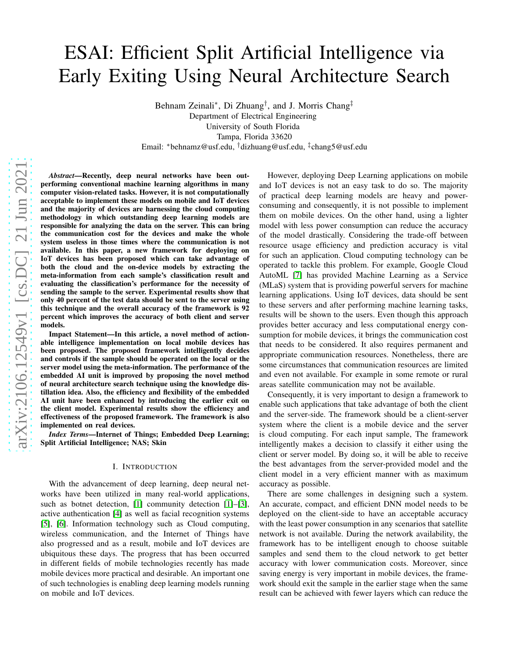# ESAI: Efficient Split Artificial Intelligence via Early Exiting Using Neural Architecture Search

Behnam Zeinali<sup>∗</sup>, Di Zhuang<sup>†</sup>, and J. Morris Chang<sup>‡</sup> Department of Electrical Engineering University of South Florida Tampa, Florida 33620 Email: <sup>∗</sup>behnamz@usf.edu, †dizhuang@usf.edu, ‡ chang5@usf.edu

*Abstract*—Recently, deep neural networks have been outperforming conventional machine learning algorithms in many computer vision-related tasks. However, it is not computationally acceptable to implement these models on mobile and IoT devices and the majority of devices are harnessing the cloud computing methodology in which outstanding deep learning models are responsible for analyzing the data on the server. This can bring the communication cost for the devices and make the whole system useless in those times where the communication is not available. In this paper, a new framework for deploying on IoT devices has been proposed which can take advantage of both the cloud and the on-device models by extracting the meta-information from each sample's classification result and evaluating the classification's performance for the necessity of sending the sample to the server. Experimental results show that only 40 percent of the test data should be sent to the server using this technique and the overall accuracy of the framework is 92 percent which improves the accuracy of both client and server models.

Impact Statement—In this article, a novel method of actionable intelligence implementation on local mobile devices has been proposed. The proposed framework intelligently decides and controls if the sample should be operated on the local or the server model using the meta-information. The performance of the embedded AI unit is improved by proposing the novel method of neural architecture search technique using the knowledge distillation idea. Also, the efficiency and flexibility of the embedded AI unit have been enhanced by introducing the earlier exit on the client model. Experimental results show the efficiency and effectiveness of the proposed framework. The framework is also implemented on real devices.

*Index Terms*—Internet of Things; Embedded Deep Learning; Split Artificial Intelligence; NAS; Skin

# I. INTRODUCTION

With the advancement of deep learning, deep neural networks have been utilized in many real-world applications, such as botnet detection, [\[1\]](#page-9-0) community detection [\[1\]](#page-9-0)–[\[3\]](#page-9-1), active authentication [\[4\]](#page-9-2) as well as facial recognition systems [\[5\]](#page-9-3), [\[6\]](#page-9-4). Information technology such as Cloud computing, wireless communication, and the Internet of Things have also progressed and as a result, mobile and IoT devices are ubiquitous these days. The progress that has been occurred in different fields of mobile technologies recently has made mobile devices more practical and desirable. An important one of such technologies is enabling deep learning models running on mobile and IoT devices.

However, deploying Deep Learning applications on mobile and IoT devices is not an easy task to do so. The majority of practical deep learning models are heavy and powerconsuming and consequently, it is not possible to implement them on mobile devices. On the other hand, using a lighter model with less power consumption can reduce the accuracy of the model drastically. Considering the trade-off between resource usage efficiency and prediction accuracy is vital for such an application. Cloud computing technology can be operated to tackle this problem. For example, Google Cloud AutoML [\[7\]](#page-9-5) has provided Machine Learning as a Service (MLaS) system that is providing powerful servers for machine learning applications. Using IoT devices, data should be sent to these servers and after performing machine learning tasks, results will be shown to the users. Even though this approach provides better accuracy and less computational energy consumption for mobile devices, it brings the communication cost that needs to be considered. It also requires permanent and appropriate communication resources. Nonetheless, there are some circumstances that communication resources are limited and even not available. For example in some remote or rural areas satellite communication may not be available.

Consequently, it is very important to design a framework to enable such applications that take advantage of both the client and the server-side. The framework should be a client-server system where the client is a mobile device and the server is cloud computing. For each input sample, The framework intelligently makes a decision to classify it either using the client or server model. By doing so, it will be able to receive the best advantages from the server-provided model and the client model in a very efficient manner with as maximum accuracy as possible.

There are some challenges in designing such a system. An accurate, compact, and efficient DNN model needs to be deployed on the client-side to have an acceptable accuracy with the least power consumption in any scenarios that satellite network is not available. During the network availability, the framework has to be intelligent enough to choose suitable samples and send them to the cloud network to get better accuracy with lower communication costs. Moreover, since saving energy is very important in mobile devices, the framework should exit the sample in the earlier stage when the same result can be achieved with fewer layers which can reduce the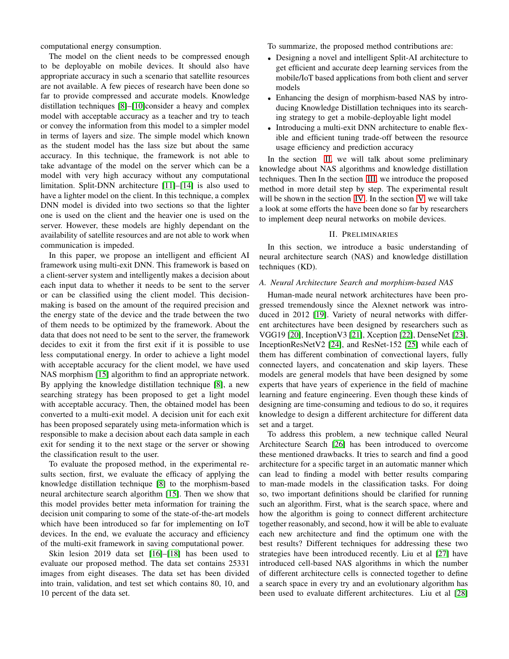computational energy consumption.

The model on the client needs to be compressed enough to be deployable on mobile devices. It should also have appropriate accuracy in such a scenario that satellite resources are not available. A few pieces of research have been done so far to provide compressed and accurate models. Knowledge distillation techniques [\[8\]](#page-9-6)–[\[10\]](#page-9-7)consider a heavy and complex model with acceptable accuracy as a teacher and try to teach or convey the information from this model to a simpler model in terms of layers and size. The simple model which known as the student model has the lass size but about the same accuracy. In this technique, the framework is not able to take advantage of the model on the server which can be a model with very high accuracy without any computational limitation. Split-DNN architecture [\[11\]](#page-9-8)–[\[14\]](#page-9-9) is also used to have a lighter model on the client. In this technique, a complex DNN model is divided into two sections so that the lighter one is used on the client and the heavier one is used on the server. However, these models are highly dependant on the availability of satellite resources and are not able to work when communication is impeded.

In this paper, we propose an intelligent and efficient AI framework using multi-exit DNN. This framework is based on a client-server system and intelligently makes a decision about each input data to whether it needs to be sent to the server or can be classified using the client model. This decisionmaking is based on the amount of the required precision and the energy state of the device and the trade between the two of them needs to be optimized by the framework. About the data that does not need to be sent to the server, the framework decides to exit it from the first exit if it is possible to use less computational energy. In order to achieve a light model with acceptable accuracy for the client model, we have used NAS morphism [\[15\]](#page-9-10) algorithm to find an appropriate network. By applying the knowledge distillation technique [\[8\]](#page-9-6), a new searching strategy has been proposed to get a light model with acceptable accuracy. Then, the obtained model has been converted to a multi-exit model. A decision unit for each exit has been proposed separately using meta-information which is responsible to make a decision about each data sample in each exit for sending it to the next stage or the server or showing the classification result to the user.

To evaluate the proposed method, in the experimental results section, first, we evaluate the efficacy of applying the knowledge distillation technique [\[8\]](#page-9-6) to the morphism-based neural architecture search algorithm [\[15\]](#page-9-10). Then we show that this model provides better meta information for training the decision unit comparing to some of the state-of-the-art models which have been introduced so far for implementing on IoT devices. In the end, we evaluate the accuracy and efficiency of the multi-exit framework in saving computational power.

Skin lesion 2019 data set [\[16\]](#page-9-11)–[\[18\]](#page-9-12) has been used to evaluate our proposed method. The data set contains 25331 images from eight diseases. The data set has been divided into train, validation, and test set which contains 80, 10, and 10 percent of the data set.

To summarize, the proposed method contributions are:

- Designing a novel and intelligent Split-AI architecture to get efficient and accurate deep learning services from the mobile/IoT based applications from both client and server models
- Enhancing the design of morphism-based NAS by introducing Knowledge Distillation techniques into its searching strategy to get a mobile-deployable light model
- Introducing a multi-exit DNN architecture to enable flexible and efficient tuning trade-off between the resource usage efficiency and prediction accuracy

In the section [II,](#page-1-0) we will talk about some preliminary knowledge about NAS algorithms and knowledge distillation techniques. Then In the section [III,](#page-2-0) we introduce the proposed method in more detail step by step. The experimental result will be shown in the section [IV](#page-5-0). In the section [V,](#page-7-0) we will take a look at some efforts the have been done so far by researchers to implement deep neural networks on mobile devices.

#### II. PRELIMINARIES

<span id="page-1-0"></span>In this section, we introduce a basic understanding of neural architecture search (NAS) and knowledge distillation techniques (KD).

# *A. Neural Architecture Search and morphism-based NAS*

Human-made neural network architectures have been progressed tremendously since the Alexnet network was introduced in 2012 [\[19\]](#page-9-13). Variety of neural networks with different architectures have been designed by researchers such as VGG19 [\[20\]](#page-9-14), InceptionV3 [\[21\]](#page-9-15), Xception [\[22\]](#page-9-16), DenseNet [\[23\]](#page-9-17), InceptionResNetV2 [\[24\]](#page-9-18), and ResNet-152 [\[25\]](#page-9-19) while each of them has different combination of convectional layers, fully connected layers, and concatenation and skip layers. These models are general models that have been designed by some experts that have years of experience in the field of machine learning and feature engineering. Even though these kinds of designing are time-consuming and tedious to do so, it requires knowledge to design a different architecture for different data set and a target.

To address this problem, a new technique called Neural Architecture Search [\[26\]](#page-9-20) has been introduced to overcome these mentioned drawbacks. It tries to search and find a good architecture for a specific target in an automatic manner which can lead to finding a model with better results comparing to man-made models in the classification tasks. For doing so, two important definitions should be clarified for running such an algorithm. First, what is the search space, where and how the algorithm is going to connect different architecture together reasonably, and second, how it will be able to evaluate each new architecture and find the optimum one with the best results? Different techniques for addressing these two strategies have been introduced recently. Liu et al [\[27\]](#page-9-21) have introduced cell-based NAS algorithms in which the number of different architecture cells is connected together to define a search space in every try and an evolutionary algorithm has been used to evaluate different architectures. Liu et al [\[28\]](#page-9-22)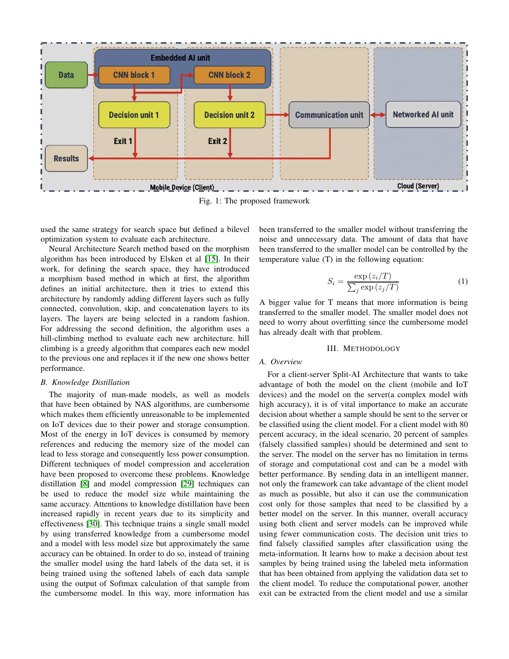<span id="page-2-1"></span>

used the same strategy for search space but defined a bilevel optimization system to evaluate each architecture.

Neural Architecture Search method based on the morphism algorithm has been introduced by Elsken et al [\[15\]](#page-9-10). In their work, for defining the search space, they have introduced a morphism based method in which at first, the algorithm defines an initial architecture, then it tries to extend this architecture by randomly adding different layers such as fully connected, convolution, skip, and concatenation layers to its layers. The layers are being selected in a random fashion. For addressing the second definition, the algorithm uses a hill-climbing method to evaluate each new architecture. hill climbing is a greedy algorithm that compares each new model to the previous one and replaces it if the new one shows better performance.

## *B. Knowledge Distillation*

The majority of man-made models, as well as models that have been obtained by NAS algorithms, are cumbersome which makes them efficiently unreasonable to be implemented on IoT devices due to their power and storage consumption. Most of the energy in IoT devices is consumed by memory references and reducing the memory size of the model can lead to less storage and consequently less power consumption. Different techniques of model compression and acceleration have been proposed to overcome these problems. Knowledge distillation [\[8\]](#page-9-6) and model compression [\[29\]](#page-9-23) techniques can be used to reduce the model size while maintaining the same accuracy. Attentions to knowledge distillation have been increased rapidly in recent years due to its simplicity and effectiveness [\[30\]](#page-9-24). This technique trains a single small model by using transferred knowledge from a cumbersome model and a model with less model size but approximately the same accuracy can be obtained. In order to do so, instead of training the smaller model using the hard labels of the data set, it is being trained using the softened labels of each data sample using the output of Softmax calculation of that sample from the cumbersome model. In this way, more information has

been transferred to the smaller model without transferring the noise and unnecessary data. The amount of data that have been transferred to the smaller model can be controlled by the temperature value (T) in the following equation:

$$
S_i = \frac{\exp\left(z_i/T\right)}{\sum_j \exp\left(z_j/T\right)}\tag{1}
$$

A bigger value for T means that more information is being transferred to the smaller model. The smaller model does not need to worry about overfitting since the cumbersome model has already dealt with that problem.

#### III. METHODOLOGY

## <span id="page-2-0"></span>*A. Overview*

For a client-server Split-AI Architecture that wants to take advantage of both the model on the client (mobile and IoT devices) and the model on the server(a complex model with high accuracy), it is of vital importance to make an accurate decision about whether a sample should be sent to the server or be classified using the client model. For a client model with 80 percent accuracy, in the ideal scenario, 20 percent of samples (falsely classified samples) should be determined and sent to the server. The model on the server has no limitation in terms of storage and computational cost and can be a model with better performance. By sending data in an intelligent manner, not only the framework can take advantage of the client model as much as possible, but also it can use the communication cost only for those samples that need to be classified by a better model on the server. In this manner, overall accuracy using both client and server models can be improved while using fewer communication costs. The decision unit tries to find falsely classified samples after classification using the meta-information. It learns how to make a decision about test samples by being trained using the labeled meta information that has been obtained from applying the validation data set to the client model. To reduce the computational power, another exit can be extracted from the client model and use a similar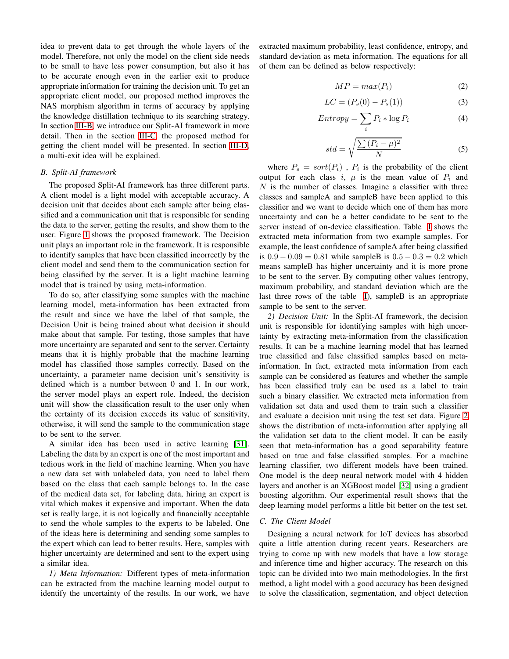idea to prevent data to get through the whole layers of the model. Therefore, not only the model on the client side needs to be small to have less power consumption, but also it has to be accurate enough even in the earlier exit to produce appropriate information for training the decision unit. To get an appropriate client model, our proposed method improves the NAS morphism algorithm in terms of accuracy by applying the knowledge distillation technique to its searching strategy. In section [III-B,](#page-3-0) we introduce our Split-AI framework in more detail. Then in the section [III-C,](#page-3-1) the proposed method for getting the client model will be presented. In section [III-D,](#page-4-0) a multi-exit idea will be explained.

# <span id="page-3-0"></span>*B. Split-AI framework*

The proposed Split-AI framework has three different parts. A client model is a light model with acceptable accuracy. A decision unit that decides about each sample after being classified and a communication unit that is responsible for sending the data to the server, getting the results, and show them to the user. Figure [1](#page-2-1) shows the proposed framework. The Decision unit plays an important role in the framework. It is responsible to identify samples that have been classified incorrectly by the client model and send them to the communication section for being classified by the server. It is a light machine learning model that is trained by using meta-information.

To do so, after classifying some samples with the machine learning model, meta-information has been extracted from the result and since we have the label of that sample, the Decision Unit is being trained about what decision it should make about that sample. For testing, those samples that have more uncertainty are separated and sent to the server. Certainty means that it is highly probable that the machine learning model has classified those samples correctly. Based on the uncertainty, a parameter name decision unit's sensitivity is defined which is a number between 0 and 1. In our work, the server model plays an expert role. Indeed, the decision unit will show the classification result to the user only when the certainty of its decision exceeds its value of sensitivity, otherwise, it will send the sample to the communication stage to be sent to the server.

A similar idea has been used in active learning [\[31\]](#page-9-25). Labeling the data by an expert is one of the most important and tedious work in the field of machine learning. When you have a new data set with unlabeled data, you need to label them based on the class that each sample belongs to. In the case of the medical data set, for labeling data, hiring an expert is vital which makes it expensive and important. When the data set is really large, it is not logically and financially acceptable to send the whole samples to the experts to be labeled. One of the ideas here is determining and sending some samples to the expert which can lead to better results. Here, samples with higher uncertainty are determined and sent to the expert using a similar idea.

*1) Meta Information:* Different types of meta-information can be extracted from the machine learning model output to identify the uncertainty of the results. In our work, we have extracted maximum probability, least confidence, entropy, and standard deviation as meta information. The equations for all of them can be defined as below respectively:

<span id="page-3-2"></span>
$$
MP = max(P_i) \tag{2}
$$

$$
LC = (P_s(0) - P_s(1))
$$
 (3)

$$
Entropy = \sum_{i} P_i * \log P_i \tag{4}
$$

<span id="page-3-3"></span>
$$
std = \sqrt{\frac{\sum (P_i - \mu)^2}{N}} \tag{5}
$$

where  $P_s = sort(P_i)$ ,  $P_i$  is the probability of the client output for each class i,  $\mu$  is the mean value of  $P_i$  and  $N$  is the number of classes. Imagine a classifier with three classes and sampleA and sampleB have been applied to this classifier and we want to decide which one of them has more uncertainty and can be a better candidate to be sent to the server instead of on-device classification. Table [I](#page-4-1) shows the extracted meta information from two example samples. For example, the least confidence of sampleA after being classified is  $0.9 - 0.09 = 0.81$  while sample B is  $0.5 - 0.3 = 0.2$  which means sampleB has higher uncertainty and it is more prone to be sent to the server. By computing other values (entropy, maximum probability, and standard deviation which are the last three rows of the table [I\)](#page-4-1), sampleB is an appropriate sample to be sent to the server.

*2) Decision Unit:* In the Split-AI framework, the decision unit is responsible for identifying samples with high uncertainty by extracting meta-information from the classification results. It can be a machine learning model that has learned true classified and false classified samples based on metainformation. In fact, extracted meta information from each sample can be considered as features and whether the sample has been classified truly can be used as a label to train such a binary classifier. We extracted meta information from validation set data and used them to train such a classifier and evaluate a decision unit using the test set data. Figure [2](#page-4-2) shows the distribution of meta-information after applying all the validation set data to the client model. It can be easily seen that meta-information has a good separability feature based on true and false classified samples. For a machine learning classifier, two different models have been trained. One model is the deep neural network model with 4 hidden layers and another is an XGBoost model [\[32\]](#page-9-26) using a gradient boosting algorithm. Our experimental result shows that the deep learning model performs a little bit better on the test set.

# <span id="page-3-1"></span>*C. The Client Model*

Designing a neural network for IoT devices has absorbed quite a little attention during recent years. Researchers are trying to come up with new models that have a low storage and inference time and higher accuracy. The research on this topic can be divided into two main methodologies. In the first method, a light model with a good accuracy has been designed to solve the classification, segmentation, and object detection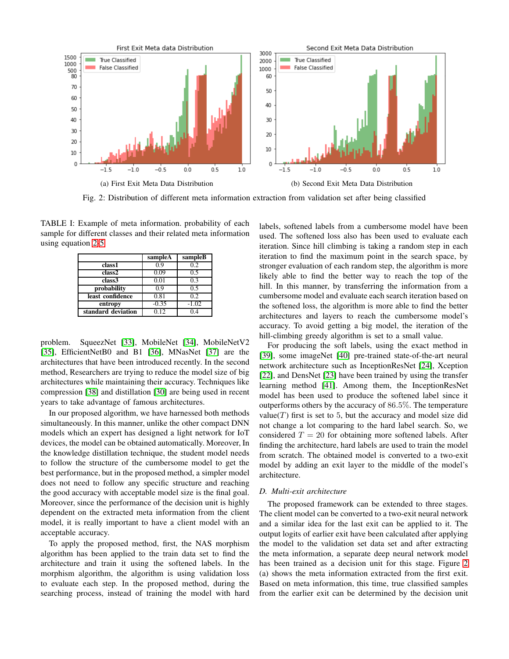<span id="page-4-2"></span>

Fig. 2: Distribution of different meta information extraction from validation set after being classified

<span id="page-4-1"></span>TABLE I: Example of meta information. probability of each sample for different classes and their related meta information using equation [2-](#page-3-2)[5](#page-3-3)

|                    | sampleA | sampleB |
|--------------------|---------|---------|
| class1             | 0.9     | 0.2     |
| class2             | 0.09    | 0.5     |
| class3             | 0.01    | 0.3     |
| probability        | 09      | 0.5     |
| least confidence   | 0.81    | 0.2     |
| entropy            | $-0.35$ | $-1.02$ |
| standard deviation | 0.12    | 14      |

problem. SqueezNet [\[33\]](#page-9-27), MobileNet [\[34\]](#page-9-28), MobileNetV2 [\[35\]](#page-9-29), EfficientNetB0 and B1 [\[36\]](#page-9-30), MNasNet [\[37\]](#page-9-31) are the architectures that have been introduced recently. In the second method, Researchers are trying to reduce the model size of big architectures while maintaining their accuracy. Techniques like compression [\[38\]](#page-9-32) and distillation [\[30\]](#page-9-24) are being used in recent years to take advantage of famous architectures.

In our proposed algorithm, we have harnessed both methods simultaneously. In this manner, unlike the other compact DNN models which an expert has designed a light network for IoT devices, the model can be obtained automatically. Moreover, In the knowledge distillation technique, the student model needs to follow the structure of the cumbersome model to get the best performance, but in the proposed method, a simpler model does not need to follow any specific structure and reaching the good accuracy with acceptable model size is the final goal. Moreover, since the performance of the decision unit is highly dependent on the extracted meta information from the client model, it is really important to have a client model with an acceptable accuracy.

To apply the proposed method, first, the NAS morphism algorithm has been applied to the train data set to find the architecture and train it using the softened labels. In the morphism algorithm, the algorithm is using validation loss to evaluate each step. In the proposed method, during the searching process, instead of training the model with hard

labels, softened labels from a cumbersome model have been used. The softened loss also has been used to evaluate each iteration. Since hill climbing is taking a random step in each iteration to find the maximum point in the search space, by stronger evaluation of each random step, the algorithm is more likely able to find the better way to reach the top of the hill. In this manner, by transferring the information from a cumbersome model and evaluate each search iteration based on the softened loss, the algorithm is more able to find the better architectures and layers to reach the cumbersome model's accuracy. To avoid getting a big model, the iteration of the hill-climbing greedy algorithm is set to a small value.

For producing the soft labels, using the exact method in [\[39\]](#page-9-33), some imageNet [\[40\]](#page-9-34) pre-trained state-of-the-art neural network architecture such as InceptionResNet [\[24\]](#page-9-18), Xception [\[22\]](#page-9-16), and DensNet [\[23\]](#page-9-17) have been trained by using the transfer learning method [\[41\]](#page-9-35). Among them, the InceptionResNet model has been used to produce the softened label since it outperforms others by the accuracy of 86.5%. The temperature value( $T$ ) first is set to 5, but the accuracy and model size did not change a lot comparing to the hard label search. So, we considered  $T = 20$  for obtaining more softened labels. After finding the architecture, hard labels are used to train the model from scratch. The obtained model is converted to a two-exit model by adding an exit layer to the middle of the model's architecture.

#### <span id="page-4-0"></span>*D. Multi-exit architecture*

The proposed framework can be extended to three stages. The client model can be converted to a two-exit neural network and a similar idea for the last exit can be applied to it. The output logits of earlier exit have been calculated after applying the model to the validation set data set and after extracting the meta information, a separate deep neural network model has been trained as a decision unit for this stage. Figure [2](#page-4-2) (a) shows the meta information extracted from the first exit. Based on meta information, this time, true classified samples from the earlier exit can be determined by the decision unit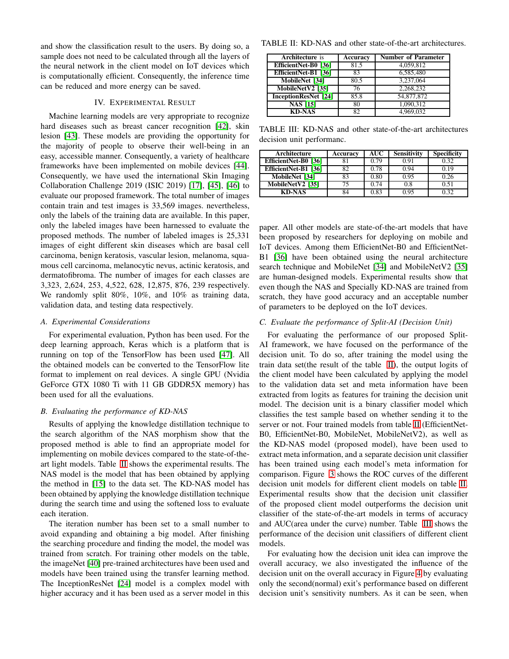and show the classification result to the users. By doing so, a sample does not need to be calculated through all the layers of the neural network in the client model on IoT devices which is computationally efficient. Consequently, the inference time can be reduced and more energy can be saved.

## IV. EXPERIMENTAL RESULT

<span id="page-5-0"></span>Machine learning models are very appropriate to recognize hard diseases such as breast cancer recognition [\[42\]](#page-9-36), skin lesion [\[43\]](#page-10-0). These models are providing the opportunity for the majority of people to observe their well-being in an easy, accessible manner. Consequently, a variety of healthcare frameworks have been implemented on mobile devices [\[44\]](#page-10-1). Consequently, we have used the international Skin Imaging Collaboration Challenge 2019 (ISIC 2019) [\[17\]](#page-9-37), [\[45\]](#page-10-2), [\[46\]](#page-10-3) to evaluate our proposed framework. The total number of images contain train and test images is 33,569 images. nevertheless, only the labels of the training data are available. In this paper, only the labeled images have been harnessed to evaluate the proposed methods. The number of labeled images is 25,331 images of eight different skin diseases which are basal cell carcinoma, benign keratosis, vascular lesion, melanoma, squamous cell carcinoma, melanocytic nevus, actinic keratosis, and dermatofibroma. The number of images for each classes are 3,323, 2,624, 253, 4,522, 628, 12,875, 876, 239 respectively. We randomly split 80%, 10%, and 10% as training data, validation data, and testing data respectively.

#### *A. Experimental Considerations*

For experimental evaluation, Python has been used. For the deep learning approach, Keras which is a platform that is running on top of the TensorFlow has been used [\[47\]](#page-10-4). All the obtained models can be converted to the TensorFlow lite format to implement on real devices. A single GPU (Nvidia GeForce GTX 1080 Ti with 11 GB GDDR5X memory) has been used for all the evaluations.

# *B. Evaluating the performance of KD-NAS*

Results of applying the knowledge distillation technique to the search algorithm of the NAS morphism show that the proposed method is able to find an appropriate model for implementing on mobile devices compared to the state-of-theart light models. Table [II](#page-5-1) shows the experimental results. The NAS model is the model that has been obtained by applying the method in [\[15\]](#page-9-10) to the data set. The KD-NAS model has been obtained by applying the knowledge distillation technique during the search time and using the softened loss to evaluate each iteration.

The iteration number has been set to a small number to avoid expanding and obtaining a big model. After finishing the searching procedure and finding the model, the model was trained from scratch. For training other models on the table, the imageNet [\[40\]](#page-9-34) pre-trained architectures have been used and models have been trained using the transfer learning method. The InceptionResNet [\[24\]](#page-9-18) model is a complex model with higher accuracy and it has been used as a server model in this

<span id="page-5-1"></span>TABLE II: KD-NAS and other state-of-the-art architectures.

| <b>Architecture</b> is      | Accuracy | <b>Number of Parameter</b> |
|-----------------------------|----------|----------------------------|
| EfficientNet-B0 [36]        | 81.5     | 4,059,812                  |
| EfficientNet-B1 [36]        | 83       | 6,585,480                  |
| MobileNet [34]              | 80.5     | 3,237,064                  |
| MobileNetV2 [35]            | 76       | 2,268,232                  |
| <b>InceptionResNet [24]</b> | 85.8     | 54,877,872                 |
| <b>NAS [15]</b>             | 80       | 1,090,312                  |
| <b>KD-NAS</b>               | Q٥       | 4.969.032                  |

<span id="page-5-2"></span>TABLE III: KD-NAS and other state-of-the-art architectures decision unit performanc.

| Architecture              | Accuracv | AUC  | <b>Sensitivity</b> | <b>Specificity</b> |
|---------------------------|----------|------|--------------------|--------------------|
| EfficientNet-B0 [36]      |          | 0.79 | 0.91               | 0.32               |
| EfficientNet-B1 [36]      | ໑າ       | 0.78 | 0.94               | 0.19               |
| MobileNet <sup>[34]</sup> | 83       | 0.80 | 0.95               | 1.26               |
| MobileNetV2 [35]          |          | 0.74 | 0.8                | 0.51               |
| KD-NAS                    |          | 0.83 | 0.95               | า จว               |

paper. All other models are state-of-the-art models that have been proposed by researchers for deploying on mobile and IoT devices. Among them EfficientNet-B0 and EfficientNet-B1 [\[36\]](#page-9-30) have been obtained using the neural architecture search technique and MobileNet [\[34\]](#page-9-28) and MobileNetV2 [\[35\]](#page-9-29) are human-designed models. Experimental results show that even though the NAS and Specially KD-NAS are trained from scratch, they have good accuracy and an acceptable number of parameters to be deployed on the IoT devices.

#### *C. Evaluate the performance of Split-AI (Decision Unit)*

For evaluating the performance of our proposed Split-AI framework, we have focused on the performance of the decision unit. To do so, after training the model using the train data set(the result of the table [II\)](#page-5-1), the output logits of the client model have been calculated by applying the model to the validation data set and meta information have been extracted from logits as features for training the decision unit model. The decision unit is a binary classifier model which classifies the test sample based on whether sending it to the server or not. Four trained models from table [II](#page-5-1) (EfficientNet-B0, EfficientNet-B0, MobileNet, MobileNetV2), as well as the KD-NAS model (proposed model), have been used to extract meta information, and a separate decision unit classifier has been trained using each model's meta information for comparison. Figure [3](#page-6-0) shows the ROC curves of the different decision unit models for different client models on table [II.](#page-5-1) Experimental results show that the decision unit classifier of the proposed client model outperforms the decision unit classifier of the state-of-the-art models in terms of accuracy and AUC(area under the curve) number. Table [III](#page-5-2) shows the performance of the decision unit classifiers of different client models.

For evaluating how the decision unit idea can improve the overall accuracy, we also investigated the influence of the decision unit on the overall accuracy in Figure [4](#page-6-1) by evaluating only the second(normal) exit's performance based on different decision unit's sensitivity numbers. As it can be seen, when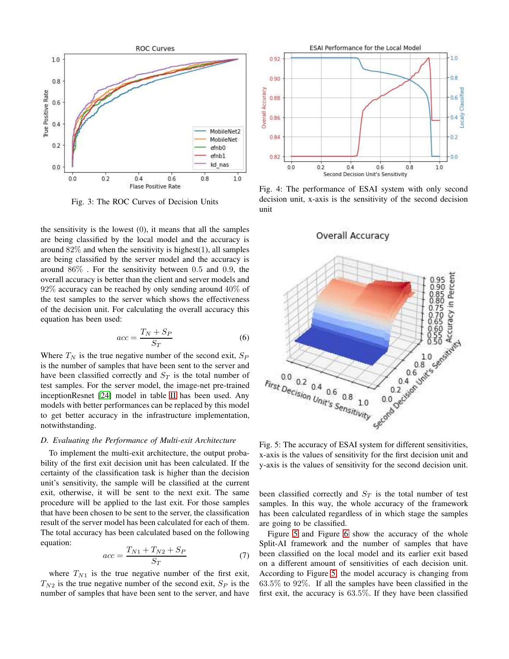<span id="page-6-0"></span>

Fig. 3: The ROC Curves of Decision Units

the sensitivity is the lowest  $(0)$ , it means that all the samples are being classified by the local model and the accuracy is around  $82\%$  and when the sensitivity is highest(1), all samples are being classified by the server model and the accuracy is around 86% . For the sensitivity between 0.5 and 0.9, the overall accuracy is better than the client and server models and  $92\%$  accuracy can be reached by only sending around  $40\%$  of the test samples to the server which shows the effectiveness of the decision unit. For calculating the overall accuracy this equation has been used:

$$
acc = \frac{T_N + S_P}{S_T} \tag{6}
$$

Where  $T_N$  is the true negative number of the second exit,  $S_P$ is the number of samples that have been sent to the server and have been classified correctly and  $S_T$  is the total number of test samples. For the server model, the image-net pre-trained inceptionResnet [\[24\]](#page-9-18) model in table [II](#page-5-1) has been used. Any models with better performances can be replaced by this model to get better accuracy in the infrastructure implementation, notwithstanding.

# *D. Evaluating the Performance of Multi-exit Architecture*

To implement the multi-exit architecture, the output probability of the first exit decision unit has been calculated. If the certainty of the classification task is higher than the decision unit's sensitivity, the sample will be classified at the current exit, otherwise, it will be sent to the next exit. The same procedure will be applied to the last exit. For those samples that have been chosen to be sent to the server, the classification result of the server model has been calculated for each of them. The total accuracy has been calculated based on the following equation:

$$
acc = \frac{T_{N1} + T_{N2} + S_P}{S_T} \tag{7}
$$

where  $T_{N1}$  is the true negative number of the first exit,  $T_{N2}$  is the true negative number of the second exit,  $S_P$  is the number of samples that have been sent to the server, and have

<span id="page-6-1"></span>

Fig. 4: The performance of ESAI system with only second decision unit, x-axis is the sensitivity of the second decision unit

<span id="page-6-2"></span>

x-axis is the values of sensitivity for the first decision unit and y-axis is the values of sensitivity for the second decision unit.

been classified correctly and  $S_T$  is the total number of test samples. In this way, the whole accuracy of the framework has been calculated regardless of in which stage the samples are going to be classified.

Figure [5](#page-6-2) and Figure [6](#page-8-0) show the accuracy of the whole Split-AI framework and the number of samples that have been classified on the local model and its earlier exit based on a different amount of sensitivities of each decision unit. According to Figure [5,](#page-6-2) the model accuracy is changing from 63.5% to 92%. If all the samples have been classified in the first exit, the accuracy is 63.5%. If they have been classified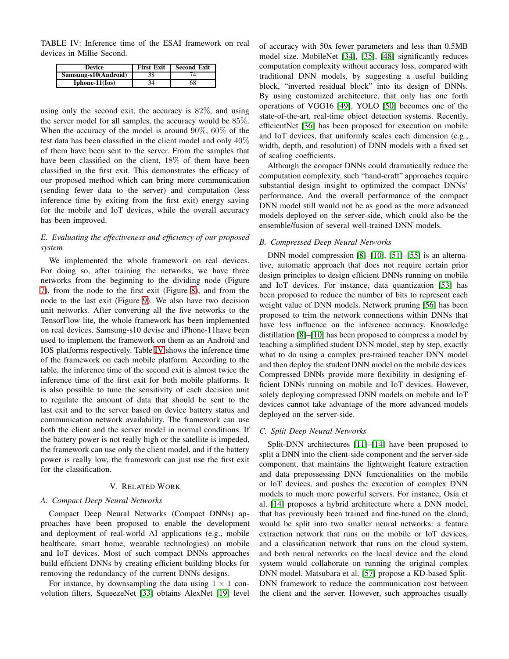<span id="page-7-1"></span>TABLE IV: Inference time of the ESAI framework on real devices in Millie Second.

| Device               | <b>First Exit</b> | <b>Second Exit</b> |
|----------------------|-------------------|--------------------|
| Samsung-s10(Android) | 38                |                    |
| $Iphone-11(Is)$      |                   | 68                 |

using only the second exit, the accuracy is 82%, and using the server model for all samples, the accuracy would be 85%. When the accuracy of the model is around 90%, 60% of the test data has been classified in the client model and only 40% of them have been sent to the server. From the samples that have been classified on the client, 18% of them have been classified in the first exit. This demonstrates the efficacy of our proposed method which can bring more communication (sending fewer data to the server) and computation (less inference time by exiting from the first exit) energy saving for the mobile and IoT devices, while the overall accuracy has been improved.

# *E. Evaluating the effectiveness and efficiency of our proposed system*

We implemented the whole framework on real devices. For doing so, after training the networks, we have three networks from the beginning to the dividing node (Figure [7\)](#page-11-0), from the node to the first exit (Figure [8\)](#page-12-0), and from the node to the last exit (Figure [9\)](#page-13-0). We also have two decision unit networks. After converting all the five networks to the TensorFlow lite, the whole framework has been implemented on real devices. Samsung-s10 devise and iPhone-11have been used to implement the framework on them as an Android and IOS platforms respectively. Table [IV](#page-7-1) shows the inference time of the framework on each mobile platform. According to the table, the inference time of the second exit is almost twice the inference time of the first exit for both mobile platforms. It is also possible to tune the sensitivity of each decision unit to regulate the amount of data that should be sent to the last exit and to the server based on device battery status and communication network availability. The framework can use both the client and the server model in normal conditions. If the battery power is not really high or the satellite is impeded, the framework can use only the client model, and if the battery power is really low, the framework can just use the first exit for the classification.

# V. RELATED WORK

# <span id="page-7-0"></span>*A. Compact Deep Neural Networks*

Compact Deep Neural Networks (Compact DNNs) approaches have been proposed to enable the development and deployment of real-world AI applications (e.g., mobile healthcare, smart home, wearable technologies) on mobile and IoT devices. Most of such compact DNNs approaches build efficient DNNs by creating efficient building blocks for removing the redundancy of the current DNNs designs.

For instance, by downsampling the data using  $1 \times 1$  convolution filters, SqueezeNet [\[33\]](#page-9-27) obtains AlexNet [\[19\]](#page-9-13) level of accuracy with 50x fewer parameters and less than 0.5MB model size. MobileNet [\[34\]](#page-9-28), [\[35\]](#page-9-29), [\[48\]](#page-10-5) significantly reduces computation complexity without accuracy loss, compared with traditional DNN models, by suggesting a useful building block, "inverted residual block" into its design of DNNs. By using customized architecture, that only has one forth operations of VGG16 [\[49\]](#page-10-6), YOLO [\[50\]](#page-10-7) becomes one of the state-of-the-art, real-time object detection systems. Recently, efficientNet [\[36\]](#page-9-30) has been proposed for execution on mobile and IoT devices, that uniformly scales each dimension (e.g., width, depth, and resolution) of DNN models with a fixed set of scaling coefficients.

Although the compact DNNs could dramatically reduce the computation complexity, such "hand-craft" approaches require substantial design insight to optimized the compact DNNs' performance. And the overall performance of the compact DNN model still would not be as good as the more advanced models deployed on the server-side, which could also be the ensemble/fusion of several well-trained DNN models.

# *B. Compressed Deep Neural Networks*

DNN model compression [\[8\]](#page-9-6)–[\[10\]](#page-9-7), [\[51\]](#page-10-8)–[\[55\]](#page-10-9) is an alternative, automatic approach that does not require certain prior design principles to design efficient DNNs running on mobile and IoT devices. For instance, data quantization [\[53\]](#page-10-10) has been proposed to reduce the number of bits to represent each weight value of DNN models. Network pruning [\[56\]](#page-10-11) has been proposed to trim the network connections within DNNs that have less influence on the inference accuracy. Knowledge distillation [\[8\]](#page-9-6)–[\[10\]](#page-9-7) has been proposed to compress a model by teaching a simplified student DNN model, step by step, exactly what to do using a complex pre-trained teacher DNN model and then deploy the student DNN model on the mobile devices. Compressed DNNs provide more flexibility in designing efficient DNNs running on mobile and IoT devices. However, solely deploying compressed DNN models on mobile and IoT devices cannot take advantage of the more advanced models deployed on the server-side.

# *C. Split Deep Neural Networks*

Split-DNN architectures [\[11\]](#page-9-8)–[\[14\]](#page-9-9) have been proposed to split a DNN into the client-side component and the server-side component, that maintains the lightweight feature extraction and data prepossessing DNN functionalities on the mobile or IoT devices, and pushes the execution of complex DNN models to much more powerful servers. For instance, Osia et al. [\[14\]](#page-9-9) proposes a hybrid architecture where a DNN model, that has previously been trained and fine-tuned on the cloud, would be split into two smaller neural networks: a feature extraction network that runs on the mobile or IoT devices, and a classification network that runs on the cloud system, and both neural networks on the local device and the cloud system would collaborate on running the original complex DNN model. Matsubara et al. [\[57\]](#page-10-12) propose a KD-based Split-DNN framework to reduce the communication cost between the client and the server. However, such approaches usually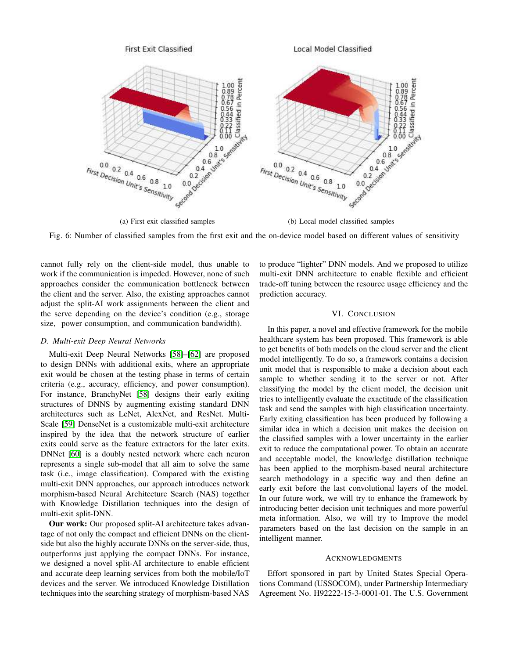<span id="page-8-0"></span>

(a) First exit classified samples (b) Local model classified samples

Fig. 6: Number of classified samples from the first exit and the on-device model based on different values of sensitivity

cannot fully rely on the client-side model, thus unable to work if the communication is impeded. However, none of such approaches consider the communication bottleneck between the client and the server. Also, the existing approaches cannot adjust the split-AI work assignments between the client and the serve depending on the device's condition (e.g., storage size, power consumption, and communication bandwidth).

# *D. Multi-exit Deep Neural Networks*

Multi-exit Deep Neural Networks [\[58\]](#page-10-13)–[\[62\]](#page-10-14) are proposed to design DNNs with additional exits, where an appropriate exit would be chosen at the testing phase in terms of certain criteria (e.g., accuracy, efficiency, and power consumption). For instance, BranchyNet [\[58\]](#page-10-13) designs their early exiting structures of DNNS by augmenting existing standard DNN architectures such as LeNet, AlexNet, and ResNet. Multi-Scale [\[59\]](#page-10-15) DenseNet is a customizable multi-exit architecture inspired by the idea that the network structure of earlier exits could serve as the feature extractors for the later exits. DNNet [\[60\]](#page-10-16) is a doubly nested network where each neuron represents a single sub-model that all aim to solve the same task (i.e., image classification). Compared with the existing multi-exit DNN approaches, our approach introduces network morphism-based Neural Architecture Search (NAS) together with Knowledge Distillation techniques into the design of multi-exit split-DNN.

**Our work:** Our proposed split-AI architecture takes advantage of not only the compact and efficient DNNs on the clientside but also the highly accurate DNNs on the server-side, thus, outperforms just applying the compact DNNs. For instance, we designed a novel split-AI architecture to enable efficient and accurate deep learning services from both the mobile/IoT devices and the server. We introduced Knowledge Distillation techniques into the searching strategy of morphism-based NAS to produce "lighter" DNN models. And we proposed to utilize multi-exit DNN architecture to enable flexible and efficient trade-off tuning between the resource usage efficiency and the prediction accuracy.

# VI. CONCLUSION

In this paper, a novel and effective framework for the mobile healthcare system has been proposed. This framework is able to get benefits of both models on the cloud server and the client model intelligently. To do so, a framework contains a decision unit model that is responsible to make a decision about each sample to whether sending it to the server or not. After classifying the model by the client model, the decision unit tries to intelligently evaluate the exactitude of the classification task and send the samples with high classification uncertainty. Early exiting classification has been produced by following a similar idea in which a decision unit makes the decision on the classified samples with a lower uncertainty in the earlier exit to reduce the computational power. To obtain an accurate and acceptable model, the knowledge distillation technique has been applied to the morphism-based neural architecture search methodology in a specific way and then define an early exit before the last convolutional layers of the model. In our future work, we will try to enhance the framework by introducing better decision unit techniques and more powerful meta information. Also, we will try to Improve the model parameters based on the last decision on the sample in an intelligent manner.

# ACKNOWLEDGMENTS

Effort sponsored in part by United States Special Operations Command (USSOCOM), under Partnership Intermediary Agreement No. H92222-15-3-0001-01. The U.S. Government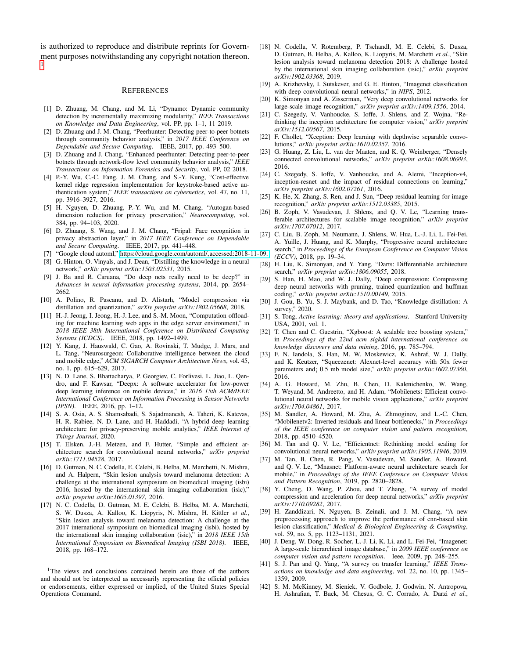is authorized to reproduce and distribute reprints for Government purposes notwithstanding any copyright notation thereon. [1](#page-9-38)

#### **REFERENCES**

- <span id="page-9-0"></span>[1] D. Zhuang, M. Chang, and M. Li, "Dynamo: Dynamic community detection by incrementally maximizing modularity," *IEEE Transactions on Knowledge and Data Engineering*, vol. PP, pp. 1–1, 11 2019.
- [2] D. Zhuang and J. M. Chang, "Peerhunter: Detecting peer-to-peer botnets through community behavior analysis," in *2017 IEEE Conference on Dependable and Secure Computing*. IEEE, 2017, pp. 493–500.
- <span id="page-9-1"></span>[3] D. Zhuang and J. Chang, "Enhanced peerhunter: Detecting peer-to-peer botnets through network-flow level community behavior analysis," *IEEE Transactions on Information Forensics and Security*, vol. PP, 02 2018.
- <span id="page-9-2"></span>[4] P.-Y. Wu, C.-C. Fang, J. M. Chang, and S.-Y. Kung, "Cost-effective kernel ridge regression implementation for keystroke-based active authentication system," *IEEE transactions on cybernetics*, vol. 47, no. 11, pp. 3916–3927, 2016.
- <span id="page-9-3"></span>[5] H. Nguyen, D. Zhuang, P.-Y. Wu, and M. Chang, "Autogan-based dimension reduction for privacy preservation," *Neurocomputing*, vol. 384, pp. 94–103, 2020.
- <span id="page-9-4"></span>[6] D. Zhuang, S. Wang, and J. M. Chang, "Fripal: Face recognition in privacy abstraction layer," in *2017 IEEE Conference on Dependable and Secure Computing*. IEEE, 2017, pp. 441–448.
- <span id="page-9-6"></span><span id="page-9-5"></span>[7] "Google cloud automl," [https://cloud.google.com/automl/,accessed:2018-11-09.](https://cloud. google.com/automl/, accessed: 2018-11-09.)
- [8] G. Hinton, O. Vinyals, and J. Dean, "Distilling the knowledge in a neural network," *arXiv preprint arXiv:1503.02531*, 2015.
- [9] J. Ba and R. Caruana, "Do deep nets really need to be deep?" in *Advances in neural information processing systems*, 2014, pp. 2654– 2662.
- <span id="page-9-7"></span>[10] A. Polino, R. Pascanu, and D. Alistarh, "Model compression via distillation and quantization," *arXiv preprint arXiv:1802.05668*, 2018.
- <span id="page-9-8"></span>[11] H.-J. Jeong, I. Jeong, H.-J. Lee, and S.-M. Moon, "Computation offloading for machine learning web apps in the edge server environment," in *2018 IEEE 38th International Conference on Distributed Computing Systems (ICDCS)*. IEEE, 2018, pp. 1492–1499.
- [12] Y. Kang, J. Hauswald, C. Gao, A. Rovinski, T. Mudge, J. Mars, and L. Tang, "Neurosurgeon: Collaborative intelligence between the cloud and mobile edge," *ACM SIGARCH Computer Architecture News*, vol. 45, no. 1, pp. 615–629, 2017.
- [13] N. D. Lane, S. Bhattacharya, P. Georgiev, C. Forlivesi, L. Jiao, L. Qendro, and F. Kawsar, "Deepx: A software accelerator for low-power deep learning inference on mobile devices," in *2016 15th ACM/IEEE International Conference on Information Processing in Sensor Networks (IPSN)*. IEEE, 2016, pp. 1–12.
- <span id="page-9-9"></span>[14] S. A. Osia, A. S. Shamsabadi, S. Sajadmanesh, A. Taheri, K. Katevas, H. R. Rabiee, N. D. Lane, and H. Haddadi, "A hybrid deep learning architecture for privacy-preserving mobile analytics," *IEEE Internet of Things Journal*, 2020.
- <span id="page-9-10"></span>[15] T. Elsken, J.-H. Metzen, and F. Hutter, "Simple and efficient architecture search for convolutional neural networks," *arXiv preprint arXiv:1711.04528*, 2017.
- <span id="page-9-11"></span>[16] D. Gutman, N. C. Codella, E. Celebi, B. Helba, M. Marchetti, N. Mishra, and A. Halpern, "Skin lesion analysis toward melanoma detection: A challenge at the international symposium on biomedical imaging (isbi) 2016, hosted by the international skin imaging collaboration (isic)," *arXiv preprint arXiv:1605.01397*, 2016.
- <span id="page-9-37"></span>[17] N. C. Codella, D. Gutman, M. E. Celebi, B. Helba, M. A. Marchetti, S. W. Dusza, A. Kalloo, K. Liopyris, N. Mishra, H. Kittler *et al.*, "Skin lesion analysis toward melanoma detection: A challenge at the 2017 international symposium on biomedical imaging (isbi), hosted by the international skin imaging collaboration (isic)," in *2018 IEEE 15th International Symposium on Biomedical Imaging (ISBI 2018)*. IEEE, 2018, pp. 168–172.

<span id="page-9-38"></span><sup>1</sup>The views and conclusions contained herein are those of the authors and should not be interpreted as necessarily representing the official policies or endorsements, either expressed or implied, of the United States Special Operations Command.

- <span id="page-9-12"></span>[18] N. Codella, V. Rotemberg, P. Tschandl, M. E. Celebi, S. Dusza, D. Gutman, B. Helba, A. Kalloo, K. Liopyris, M. Marchetti *et al.*, "Skin lesion analysis toward melanoma detection 2018: A challenge hosted by the international skin imaging collaboration (isic)," *arXiv preprint arXiv:1902.03368*, 2019.
- <span id="page-9-13"></span>[19] A. Krizhevsky, I. Sutskever, and G. E. Hinton, "Imagenet classification with deep convolutional neural networks," in *NIPS*, 2012.
- <span id="page-9-14"></span>[20] K. Simonyan and A. Zisserman, "Very deep convolutional networks for large-scale image recognition," *arXiv preprint arXiv:1409.1556*, 2014.
- <span id="page-9-15"></span>[21] C. Szegedy, V. Vanhoucke, S. Ioffe, J. Shlens, and Z. Wojna, "Rethinking the inception architecture for computer vision," *arXiv preprint arXiv:1512.00567*, 2015.
- <span id="page-9-16"></span>[22] F. Chollet, "Xception: Deep learning with depthwise separable convolutions," *arXiv preprint arXiv:1610.02357*, 2016.
- <span id="page-9-17"></span>[23] G. Huang, Z. Liu, L. van der Maaten, and K. Q. Weinberger, "Densely connected convolutional networks," *arXiv preprint arXiv:1608.06993*, 2016.
- <span id="page-9-18"></span>[24] C. Szegedy, S. Ioffe, V. Vanhoucke, and A. Alemi, "Inception-v4, inception-resnet and the impact of residual connections on learning," *arXiv preprint arXiv:1602.07261*, 2016.
- <span id="page-9-19"></span>[25] K. He, X. Zhang, S. Ren, and J. Sun, "Deep residual learning for image recognition," *arXiv preprint arXiv:1512.03385*, 2015.
- <span id="page-9-20"></span>[26] B. Zoph, V. Vasudevan, J. Shlens, and Q. V. Le, "Learning transferable architectures for scalable image recognition," *arXiv preprint arXiv:1707.07012*, 2017.
- <span id="page-9-21"></span>[27] C. Liu, B. Zoph, M. Neumann, J. Shlens, W. Hua, L.-J. Li, L. Fei-Fei, A. Yuille, J. Huang, and K. Murphy, "Progressive neural architecture search," in *Proceedings of the European Conference on Computer Vision (ECCV)*, 2018, pp. 19–34.
- <span id="page-9-22"></span>[28] H. Liu, K. Simonyan, and Y. Yang, "Darts: Differentiable architecture search," *arXiv preprint arXiv:1806.09055*, 2018.
- <span id="page-9-23"></span>[29] S. Han, H. Mao, and W. J. Dally, "Deep compression: Compressing deep neural networks with pruning, trained quantization and huffman coding," *arXiv preprint arXiv:1510.00149*, 2015.
- <span id="page-9-24"></span>[30] J. Gou, B. Yu, S. J. Maybank, and D. Tao, "Knowledge distillation: A survey," 2020.
- <span id="page-9-25"></span>[31] S. Tong, *Active learning: theory and applications*. Stanford University USA, 2001, vol. 1.
- <span id="page-9-26"></span>[32] T. Chen and C. Guestrin, "Xgboost: A scalable tree boosting system," in *Proceedings of the 22nd acm sigkdd international conference on knowledge discovery and data mining*, 2016, pp. 785–794.
- <span id="page-9-27"></span>[33] F. N. Iandola, S. Han, M. W. Moskewicz, K. Ashraf, W. J. Dally, and K. Keutzer, "Squeezenet: Alexnet-level accuracy with 50x fewer parameters and¡ 0.5 mb model size," *arXiv preprint arXiv:1602.07360*, 2016.
- <span id="page-9-28"></span>[34] A. G. Howard, M. Zhu, B. Chen, D. Kalenichenko, W. Wang, T. Weyand, M. Andreetto, and H. Adam, "Mobilenets: Efficient convolutional neural networks for mobile vision applications," *arXiv preprint arXiv:1704.04861*, 2017.
- <span id="page-9-29"></span>[35] M. Sandler, A. Howard, M. Zhu, A. Zhmoginov, and L.-C. Chen, "Mobilenetv2: Inverted residuals and linear bottlenecks," in *Proceedings of the IEEE conference on computer vision and pattern recognition*, 2018, pp. 4510–4520.
- <span id="page-9-30"></span>[36] M. Tan and Q. V. Le, "Efficientnet: Rethinking model scaling for convolutional neural networks," *arXiv preprint arXiv:1905.11946*, 2019.
- <span id="page-9-31"></span>[37] M. Tan, B. Chen, R. Pang, V. Vasudevan, M. Sandler, A. Howard, and Q. V. Le, "Mnasnet: Platform-aware neural architecture search for mobile," in *Proceedings of the IEEE Conference on Computer Vision and Pattern Recognition*, 2019, pp. 2820–2828.
- <span id="page-9-32"></span>[38] Y. Cheng, D. Wang, P. Zhou, and T. Zhang, "A survey of model compression and acceleration for deep neural networks," *arXiv preprint arXiv:1710.09282*, 2017.
- <span id="page-9-33"></span>[39] H. Zanddizari, N. Nguyen, B. Zeinali, and J. M. Chang, "A new preprocessing approach to improve the performance of cnn-based skin lesion classification," *Medical & Biological Engineering & Computing*, vol. 59, no. 5, pp. 1123–1131, 2021.
- <span id="page-9-34"></span>[40] J. Deng, W. Dong, R. Socher, L.-J. Li, K. Li, and L. Fei-Fei, "Imagenet: A large-scale hierarchical image database," in *2009 IEEE conference on computer vision and pattern recognition*. Ieee, 2009, pp. 248–255.
- <span id="page-9-35"></span>[41] S. J. Pan and Q. Yang, "A survey on transfer learning," *IEEE Transactions on knowledge and data engineering*, vol. 22, no. 10, pp. 1345– 1359, 2009.
- <span id="page-9-36"></span>[42] S. M. McKinney, M. Sieniek, V. Godbole, J. Godwin, N. Antropova, H. Ashrafian, T. Back, M. Chesus, G. C. Corrado, A. Darzi *et al.*,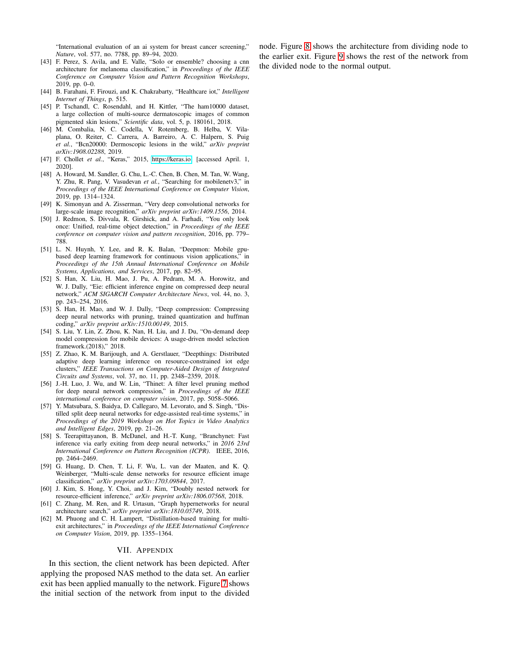"International evaluation of an ai system for breast cancer screening," *Nature*, vol. 577, no. 7788, pp. 89–94, 2020.

- <span id="page-10-0"></span>[43] F. Perez, S. Avila, and E. Valle, "Solo or ensemble? choosing a cnn architecture for melanoma classification," in *Proceedings of the IEEE Conference on Computer Vision and Pattern Recognition Workshops*, 2019, pp. 0–0.
- <span id="page-10-1"></span>[44] B. Farahani, F. Firouzi, and K. Chakrabarty, "Healthcare iot," *Intelligent Internet of Things*, p. 515.
- <span id="page-10-2"></span>[45] P. Tschandl, C. Rosendahl, and H. Kittler, "The ham10000 dataset, a large collection of multi-source dermatoscopic images of common pigmented skin lesions," *Scientific data*, vol. 5, p. 180161, 2018.
- <span id="page-10-3"></span>[46] M. Combalia, N. C. Codella, V. Rotemberg, B. Helba, V. Vilaplana, O. Reiter, C. Carrera, A. Barreiro, A. C. Halpern, S. Puig *et al.*, "Bcn20000: Dermoscopic lesions in the wild," *arXiv preprint arXiv:1908.02288*, 2019.
- <span id="page-10-4"></span>[47] F. Chollet *et al.*, "Keras," 2015, [https://keras.io,](https://keras.io) [accessed April. 1, 2020].
- <span id="page-10-5"></span>[48] A. Howard, M. Sandler, G. Chu, L.-C. Chen, B. Chen, M. Tan, W. Wang, Y. Zhu, R. Pang, V. Vasudevan *et al.*, "Searching for mobilenetv3," in *Proceedings of the IEEE International Conference on Computer Vision*, 2019, pp. 1314–1324.
- <span id="page-10-6"></span>[49] K. Simonyan and A. Zisserman, "Very deep convolutional networks for large-scale image recognition," *arXiv preprint arXiv:1409.1556*, 2014.
- <span id="page-10-7"></span>[50] J. Redmon, S. Divvala, R. Girshick, and A. Farhadi, "You only look once: Unified, real-time object detection," in *Proceedings of the IEEE conference on computer vision and pattern recognition*, 2016, pp. 779– 788.
- <span id="page-10-8"></span>[51] L. N. Huynh, Y. Lee, and R. K. Balan, "Deepmon: Mobile gpubased deep learning framework for continuous vision applications," in *Proceedings of the 15th Annual International Conference on Mobile Systems, Applications, and Services*, 2017, pp. 82–95.
- [52] S. Han, X. Liu, H. Mao, J. Pu, A. Pedram, M. A. Horowitz, and W. J. Dally, "Eie: efficient inference engine on compressed deep neural network," *ACM SIGARCH Computer Architecture News*, vol. 44, no. 3, pp. 243–254, 2016.
- <span id="page-10-10"></span>[53] S. Han, H. Mao, and W. J. Dally, "Deep compression: Compressing deep neural networks with pruning, trained quantization and huffman coding," *arXiv preprint arXiv:1510.00149*, 2015.
- [54] S. Liu, Y. Lin, Z. Zhou, K. Nan, H. Liu, and J. Du, "On-demand deep model compression for mobile devices: A usage-driven model selection framework.(2018)," 2018.
- <span id="page-10-9"></span>[55] Z. Zhao, K. M. Barijough, and A. Gerstlauer, "Deepthings: Distributed adaptive deep learning inference on resource-constrained iot edge clusters," *IEEE Transactions on Computer-Aided Design of Integrated Circuits and Systems*, vol. 37, no. 11, pp. 2348–2359, 2018.
- <span id="page-10-11"></span>[56] J.-H. Luo, J. Wu, and W. Lin, "Thinet: A filter level pruning method for deep neural network compression," in *Proceedings of the IEEE international conference on computer vision*, 2017, pp. 5058–5066.
- <span id="page-10-12"></span>[57] Y. Matsubara, S. Baidya, D. Callegaro, M. Levorato, and S. Singh, "Distilled split deep neural networks for edge-assisted real-time systems," in *Proceedings of the 2019 Workshop on Hot Topics in Video Analytics and Intelligent Edges*, 2019, pp. 21–26.
- <span id="page-10-13"></span>[58] S. Teerapittayanon, B. McDanel, and H.-T. Kung, "Branchynet: Fast inference via early exiting from deep neural networks," in *2016 23rd International Conference on Pattern Recognition (ICPR)*. IEEE, 2016, pp. 2464–2469.
- <span id="page-10-15"></span>[59] G. Huang, D. Chen, T. Li, F. Wu, L. van der Maaten, and K. Q. Weinberger, "Multi-scale dense networks for resource efficient image classification," *arXiv preprint arXiv:1703.09844*, 2017.
- <span id="page-10-16"></span>[60] J. Kim, S. Hong, Y. Choi, and J. Kim, "Doubly nested network for resource-efficient inference," *arXiv preprint arXiv:1806.07568*, 2018.
- [61] C. Zhang, M. Ren, and R. Urtasun, "Graph hypernetworks for neural architecture search," *arXiv preprint arXiv:1810.05749*, 2018.
- <span id="page-10-14"></span>[62] M. Phuong and C. H. Lampert, "Distillation-based training for multiexit architectures," in *Proceedings of the IEEE International Conference on Computer Vision*, 2019, pp. 1355–1364.

#### VII. APPENDIX

In this section, the client network has been depicted. After applying the proposed NAS method to the data set. An earlier exit has been applied manually to the network. Figure [7](#page-11-0) shows the initial section of the network from input to the divided node. Figure [8](#page-12-0) shows the architecture from dividing node to the earlier exit. Figure [9](#page-13-0) shows the rest of the network from the divided node to the normal output.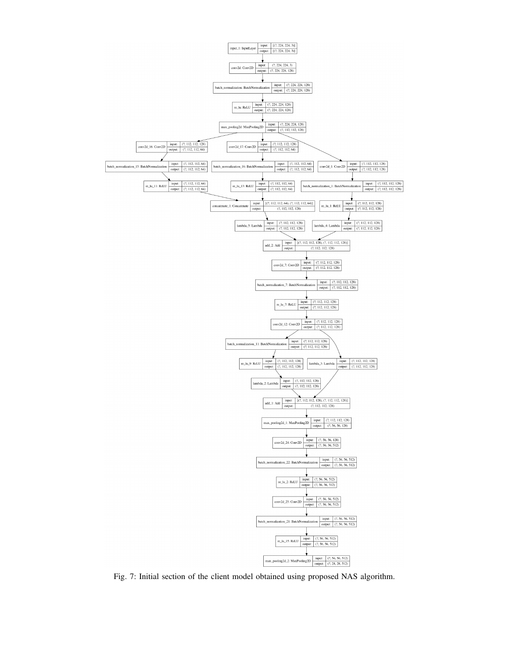<span id="page-11-0"></span>

Fig. 7: Initial section of the client model obtained using proposed NAS algorithm.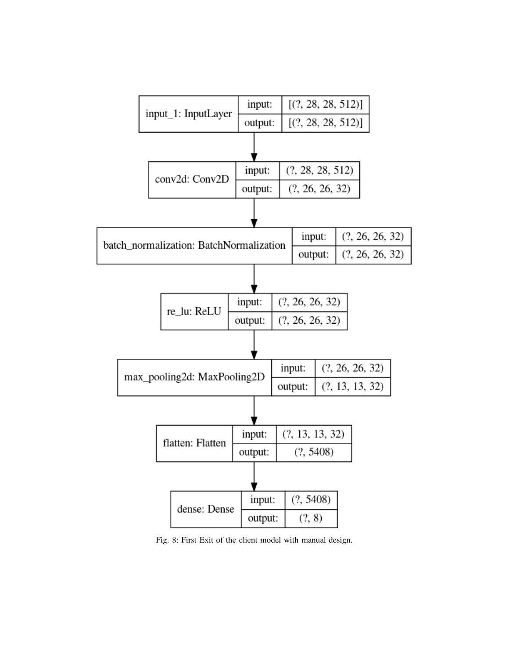<span id="page-12-0"></span>

Fig. 8: First Exit of the client model with manual design.